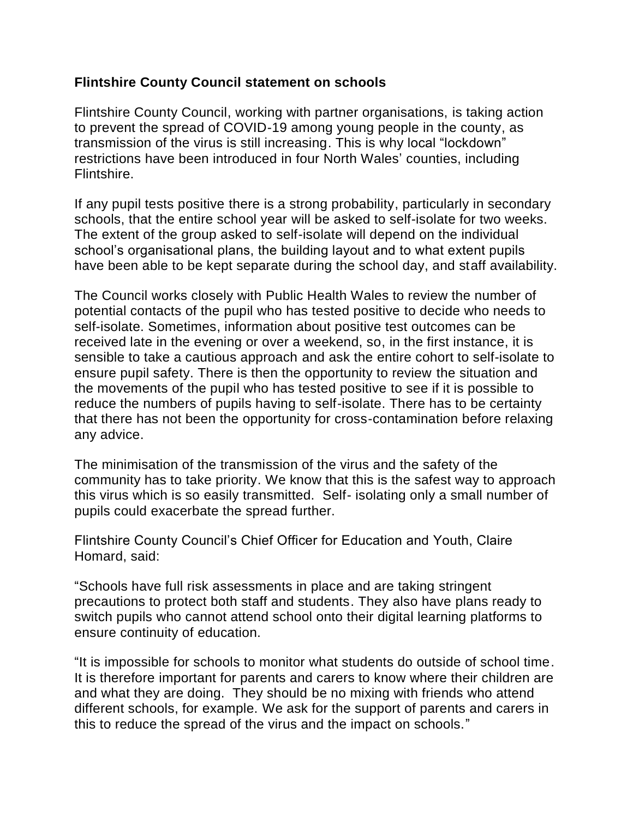## **Flintshire County Council statement on schools**

Flintshire County Council, working with partner organisations, is taking action to prevent the spread of COVID-19 among young people in the county, as transmission of the virus is still increasing. This is why local "lockdown" restrictions have been introduced in four North Wales' counties, including Flintshire.

If any pupil tests positive there is a strong probability, particularly in secondary schools, that the entire school year will be asked to self-isolate for two weeks. The extent of the group asked to self-isolate will depend on the individual school's organisational plans, the building layout and to what extent pupils have been able to be kept separate during the school day, and staff availability.

The Council works closely with Public Health Wales to review the number of potential contacts of the pupil who has tested positive to decide who needs to self-isolate. Sometimes, information about positive test outcomes can be received late in the evening or over a weekend, so, in the first instance, it is sensible to take a cautious approach and ask the entire cohort to self-isolate to ensure pupil safety. There is then the opportunity to review the situation and the movements of the pupil who has tested positive to see if it is possible to reduce the numbers of pupils having to self-isolate. There has to be certainty that there has not been the opportunity for cross-contamination before relaxing any advice.

The minimisation of the transmission of the virus and the safety of the community has to take priority. We know that this is the safest way to approach this virus which is so easily transmitted. Self- isolating only a small number of pupils could exacerbate the spread further.

Flintshire County Council's Chief Officer for Education and Youth, Claire Homard, said:

"Schools have full risk assessments in place and are taking stringent precautions to protect both staff and students. They also have plans ready to switch pupils who cannot attend school onto their digital learning platforms to ensure continuity of education.

"It is impossible for schools to monitor what students do outside of school time. It is therefore important for parents and carers to know where their children are and what they are doing. They should be no mixing with friends who attend different schools, for example. We ask for the support of parents and carers in this to reduce the spread of the virus and the impact on schools."